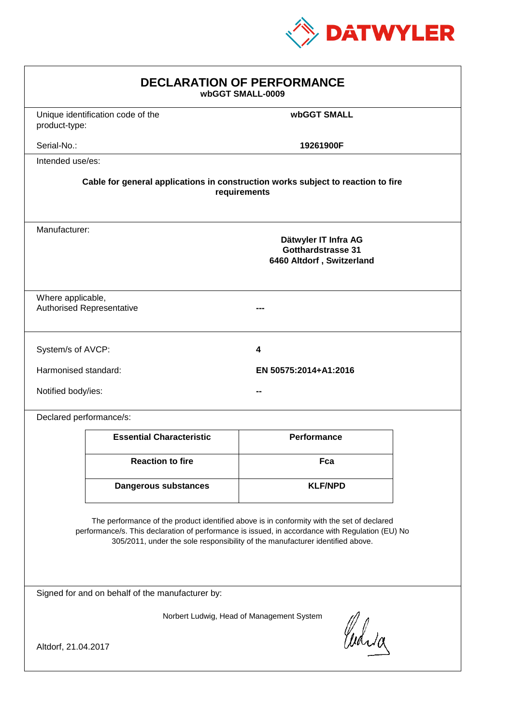

| <b>DECLARATION OF PERFORMANCE</b><br>wbGGT SMALL-0009                                                                                                                                                                                                                         |                                                                                          |                       |  |  |
|-------------------------------------------------------------------------------------------------------------------------------------------------------------------------------------------------------------------------------------------------------------------------------|------------------------------------------------------------------------------------------|-----------------------|--|--|
| product-type:                                                                                                                                                                                                                                                                 | Unique identification code of the                                                        | wbGGT SMALL           |  |  |
| Serial-No.:                                                                                                                                                                                                                                                                   |                                                                                          | 19261900F             |  |  |
| Intended use/es:                                                                                                                                                                                                                                                              |                                                                                          |                       |  |  |
| Cable for general applications in construction works subject to reaction to fire<br>requirements                                                                                                                                                                              |                                                                                          |                       |  |  |
|                                                                                                                                                                                                                                                                               | Manufacturer:<br>Dätwyler IT Infra AG<br>Gotthardstrasse 31<br>6460 Altdorf, Switzerland |                       |  |  |
| Where applicable,<br><b>Authorised Representative</b>                                                                                                                                                                                                                         |                                                                                          |                       |  |  |
| System/s of AVCP:                                                                                                                                                                                                                                                             |                                                                                          | 4                     |  |  |
| Harmonised standard:                                                                                                                                                                                                                                                          |                                                                                          | EN 50575:2014+A1:2016 |  |  |
| Notified body/ies:                                                                                                                                                                                                                                                            |                                                                                          |                       |  |  |
| Declared performance/s:                                                                                                                                                                                                                                                       |                                                                                          |                       |  |  |
|                                                                                                                                                                                                                                                                               | <b>Essential Characteristic</b>                                                          | Performance           |  |  |
|                                                                                                                                                                                                                                                                               | <b>Reaction to fire</b>                                                                  | Fca                   |  |  |
|                                                                                                                                                                                                                                                                               | <b>Dangerous substances</b>                                                              | <b>KLF/NPD</b>        |  |  |
| The performance of the product identified above is in conformity with the set of declared<br>performance/s. This declaration of performance is issued, in accordance with Regulation (EU) No<br>305/2011, under the sole responsibility of the manufacturer identified above. |                                                                                          |                       |  |  |
| Signed for and on behalf of the manufacturer by:                                                                                                                                                                                                                              |                                                                                          |                       |  |  |
| Norbert Ludwig, Head of Management System<br>Curia                                                                                                                                                                                                                            |                                                                                          |                       |  |  |
| Altdorf, 21.04.2017                                                                                                                                                                                                                                                           |                                                                                          |                       |  |  |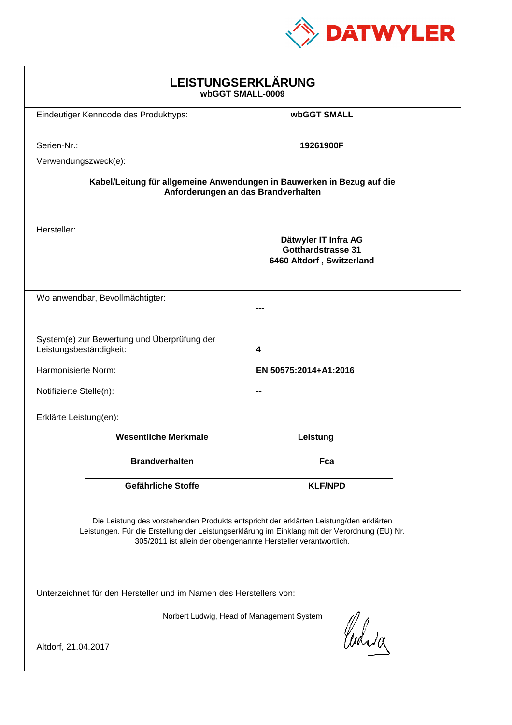

| LEISTUNGSERKLÄRUNG<br>wbGGT SMALL-0009                                                                                                                                                                                                                     |                                             |                                                                                |  |
|------------------------------------------------------------------------------------------------------------------------------------------------------------------------------------------------------------------------------------------------------------|---------------------------------------------|--------------------------------------------------------------------------------|--|
|                                                                                                                                                                                                                                                            | Eindeutiger Kenncode des Produkttyps:       | wbGGT SMALL                                                                    |  |
| Serien-Nr.:                                                                                                                                                                                                                                                |                                             | 19261900F                                                                      |  |
| Verwendungszweck(e):                                                                                                                                                                                                                                       |                                             |                                                                                |  |
| Kabel/Leitung für allgemeine Anwendungen in Bauwerken in Bezug auf die<br>Anforderungen an das Brandverhalten                                                                                                                                              |                                             |                                                                                |  |
| Hersteller:                                                                                                                                                                                                                                                |                                             | Dätwyler IT Infra AG<br><b>Gotthardstrasse 31</b><br>6460 Altdorf, Switzerland |  |
|                                                                                                                                                                                                                                                            | Wo anwendbar, Bevollmächtigter:             |                                                                                |  |
| Leistungsbeständigkeit:                                                                                                                                                                                                                                    | System(e) zur Bewertung und Überprüfung der | 4                                                                              |  |
| Harmonisierte Norm:                                                                                                                                                                                                                                        |                                             | EN 50575:2014+A1:2016                                                          |  |
| Notifizierte Stelle(n):                                                                                                                                                                                                                                    |                                             |                                                                                |  |
| Erklärte Leistung(en):                                                                                                                                                                                                                                     |                                             |                                                                                |  |
|                                                                                                                                                                                                                                                            | <b>Wesentliche Merkmale</b>                 | Leistung                                                                       |  |
|                                                                                                                                                                                                                                                            | <b>Brandverhalten</b>                       | Fca                                                                            |  |
|                                                                                                                                                                                                                                                            | Gefährliche Stoffe                          | <b>KLF/NPD</b>                                                                 |  |
| Die Leistung des vorstehenden Produkts entspricht der erklärten Leistung/den erklärten<br>Leistungen. Für die Erstellung der Leistungserklärung im Einklang mit der Verordnung (EU) Nr.<br>305/2011 ist allein der obengenannte Hersteller verantwortlich. |                                             |                                                                                |  |
| Unterzeichnet für den Hersteller und im Namen des Herstellers von:                                                                                                                                                                                         |                                             |                                                                                |  |
| Norbert Ludwig, Head of Management System<br>Curia<br>Altdorf, 21.04.2017                                                                                                                                                                                  |                                             |                                                                                |  |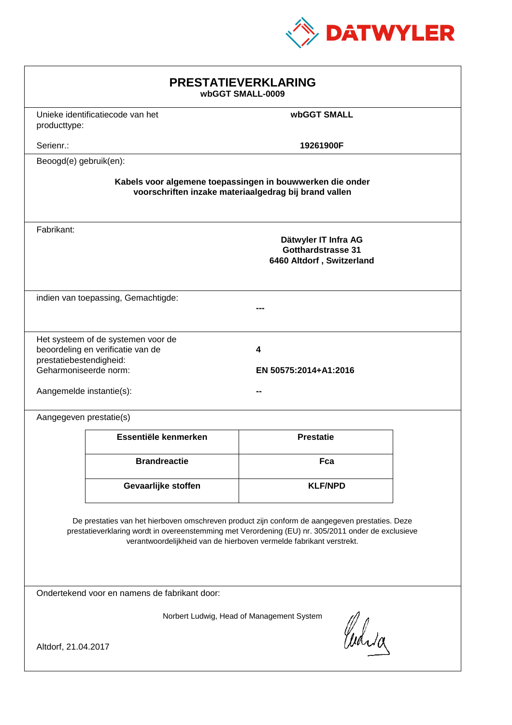

| <b>PRESTATIEVERKLARING</b><br>wbGGT SMALL-0009                                                                                                                                                                                                                              |                                     |                                                                                                                    |  |  |
|-----------------------------------------------------------------------------------------------------------------------------------------------------------------------------------------------------------------------------------------------------------------------------|-------------------------------------|--------------------------------------------------------------------------------------------------------------------|--|--|
| producttype:                                                                                                                                                                                                                                                                | Unieke identificatiecode van het    | <b>wbGGT SMALL</b>                                                                                                 |  |  |
| Serienr.:                                                                                                                                                                                                                                                                   |                                     | 19261900F                                                                                                          |  |  |
| Beoogd(e) gebruik(en):                                                                                                                                                                                                                                                      |                                     |                                                                                                                    |  |  |
|                                                                                                                                                                                                                                                                             |                                     | Kabels voor algemene toepassingen in bouwwerken die onder<br>voorschriften inzake materiaalgedrag bij brand vallen |  |  |
| Fabrikant:                                                                                                                                                                                                                                                                  |                                     | Dätwyler IT Infra AG<br><b>Gotthardstrasse 31</b><br>6460 Altdorf, Switzerland                                     |  |  |
|                                                                                                                                                                                                                                                                             | indien van toepassing, Gemachtigde: |                                                                                                                    |  |  |
| Het systeem of de systemen voor de<br>beoordeling en verificatie van de<br>4<br>prestatiebestendigheid:<br>Geharmoniseerde norm:<br>EN 50575:2014+A1:2016<br>Aangemelde instantie(s):                                                                                       |                                     |                                                                                                                    |  |  |
| Aangegeven prestatie(s)                                                                                                                                                                                                                                                     |                                     |                                                                                                                    |  |  |
|                                                                                                                                                                                                                                                                             | Essentiële kenmerken                | <b>Prestatie</b>                                                                                                   |  |  |
|                                                                                                                                                                                                                                                                             | <b>Brandreactie</b>                 | Fca                                                                                                                |  |  |
|                                                                                                                                                                                                                                                                             | Gevaarlijke stoffen                 | <b>KLF/NPD</b>                                                                                                     |  |  |
| De prestaties van het hierboven omschreven product zijn conform de aangegeven prestaties. Deze<br>prestatieverklaring wordt in overeenstemming met Verordening (EU) nr. 305/2011 onder de exclusieve<br>verantwoordelijkheid van de hierboven vermelde fabrikant verstrekt. |                                     |                                                                                                                    |  |  |
| Ondertekend voor en namens de fabrikant door:                                                                                                                                                                                                                               |                                     |                                                                                                                    |  |  |
| Norbert Ludwig, Head of Management System<br>Curia<br>Altdorf, 21.04.2017                                                                                                                                                                                                   |                                     |                                                                                                                    |  |  |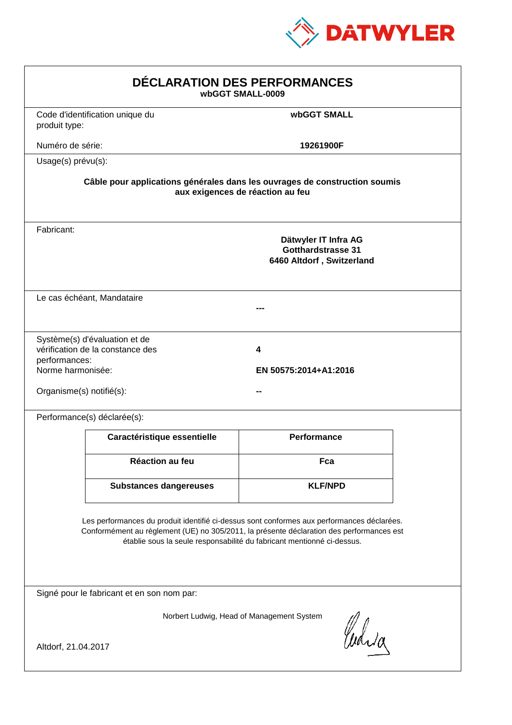

| DÉCLARATION DES PERFORMANCES<br>wbGGT SMALL-0009               |                                                                   |                                                                                                                                                                                                                                                                  |  |
|----------------------------------------------------------------|-------------------------------------------------------------------|------------------------------------------------------------------------------------------------------------------------------------------------------------------------------------------------------------------------------------------------------------------|--|
| produit type:                                                  | Code d'identification unique du                                   | <b>wbGGT SMALL</b>                                                                                                                                                                                                                                               |  |
| Numéro de série:                                               |                                                                   | 19261900F                                                                                                                                                                                                                                                        |  |
| Usage(s) prévu(s):                                             |                                                                   |                                                                                                                                                                                                                                                                  |  |
|                                                                |                                                                   | Câble pour applications générales dans les ouvrages de construction soumis<br>aux exigences de réaction au feu                                                                                                                                                   |  |
| Fabricant:                                                     |                                                                   | Dätwyler IT Infra AG<br><b>Gotthardstrasse 31</b><br>6460 Altdorf, Switzerland                                                                                                                                                                                   |  |
|                                                                | Le cas échéant, Mandataire                                        |                                                                                                                                                                                                                                                                  |  |
| performances:<br>Norme harmonisée:<br>Organisme(s) notifié(s): | Système(s) d'évaluation et de<br>vérification de la constance des | 4<br>EN 50575:2014+A1:2016                                                                                                                                                                                                                                       |  |
|                                                                | Performance(s) déclarée(s):                                       |                                                                                                                                                                                                                                                                  |  |
|                                                                | Caractéristique essentielle                                       | <b>Performance</b>                                                                                                                                                                                                                                               |  |
|                                                                | Réaction au feu                                                   | Fca                                                                                                                                                                                                                                                              |  |
|                                                                | <b>Substances dangereuses</b>                                     | <b>KLF/NPD</b>                                                                                                                                                                                                                                                   |  |
|                                                                |                                                                   | Les performances du produit identifié ci-dessus sont conformes aux performances déclarées.<br>Conformément au règlement (UE) no 305/2011, la présente déclaration des performances est<br>établie sous la seule responsabilité du fabricant mentionné ci-dessus. |  |
|                                                                | Signé pour le fabricant et en son nom par:                        |                                                                                                                                                                                                                                                                  |  |
| Altdorf, 21.04.2017                                            |                                                                   | Norbert Ludwig, Head of Management System<br>Curia                                                                                                                                                                                                               |  |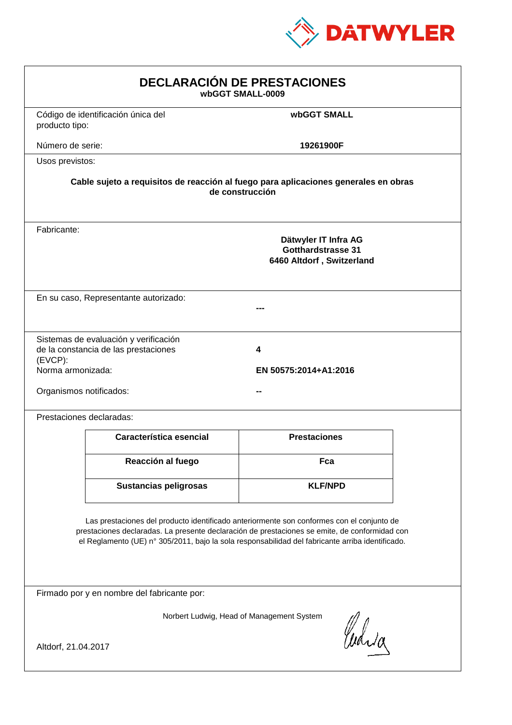

| <b>DECLARACIÓN DE PRESTACIONES</b><br>wbGGT SMALL-0009                                                                                                                                                                                                                                         |                                                                                                                                                             |                     |  |  |
|------------------------------------------------------------------------------------------------------------------------------------------------------------------------------------------------------------------------------------------------------------------------------------------------|-------------------------------------------------------------------------------------------------------------------------------------------------------------|---------------------|--|--|
| producto tipo:                                                                                                                                                                                                                                                                                 | Código de identificación única del                                                                                                                          | <b>wbGGT SMALL</b>  |  |  |
| Número de serie:                                                                                                                                                                                                                                                                               |                                                                                                                                                             | 19261900F           |  |  |
| Usos previstos:                                                                                                                                                                                                                                                                                |                                                                                                                                                             |                     |  |  |
|                                                                                                                                                                                                                                                                                                | Cable sujeto a requisitos de reacción al fuego para aplicaciones generales en obras                                                                         | de construcción     |  |  |
| Fabricante:                                                                                                                                                                                                                                                                                    | Dätwyler IT Infra AG<br>Gotthardstrasse 31<br>6460 Altdorf, Switzerland                                                                                     |                     |  |  |
|                                                                                                                                                                                                                                                                                                | En su caso, Representante autorizado:                                                                                                                       |                     |  |  |
| $(EVCP)$ :                                                                                                                                                                                                                                                                                     | Sistemas de evaluación y verificación<br>de la constancia de las prestaciones<br>4<br>Norma armonizada:<br>EN 50575:2014+A1:2016<br>Organismos notificados: |                     |  |  |
|                                                                                                                                                                                                                                                                                                | Prestaciones declaradas:                                                                                                                                    |                     |  |  |
|                                                                                                                                                                                                                                                                                                | Característica esencial                                                                                                                                     | <b>Prestaciones</b> |  |  |
|                                                                                                                                                                                                                                                                                                | Reacción al fuego                                                                                                                                           | Fca                 |  |  |
|                                                                                                                                                                                                                                                                                                | <b>Sustancias peligrosas</b>                                                                                                                                | <b>KLF/NPD</b>      |  |  |
| Las prestaciones del producto identificado anteriormente son conformes con el conjunto de<br>prestaciones declaradas. La presente declaración de prestaciones se emite, de conformidad con<br>el Reglamento (UE) nº 305/2011, bajo la sola responsabilidad del fabricante arriba identificado. |                                                                                                                                                             |                     |  |  |
|                                                                                                                                                                                                                                                                                                | Firmado por y en nombre del fabricante por:                                                                                                                 |                     |  |  |
| Norbert Ludwig, Head of Management System<br>Curia<br>Altdorf, 21.04.2017                                                                                                                                                                                                                      |                                                                                                                                                             |                     |  |  |